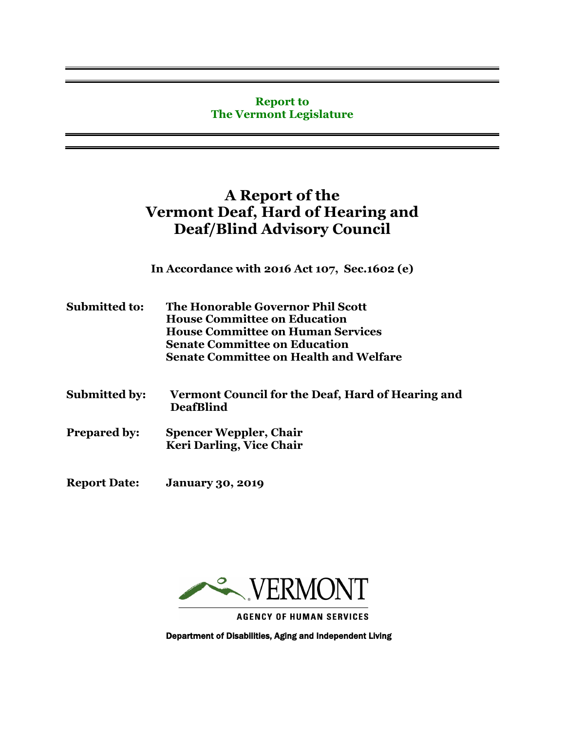#### **Report to The Vermont Legislature**

# **A Report of the Vermont Deaf, Hard of Hearing and Deaf/Blind Advisory Council**

**In Accordance with 2016 Act 107, Sec.1602 (e)**

- **Submitted to: The Honorable Governor Phil Scott House Committee on Education House Committee on Human Services Senate Committee on Education Senate Committee on Health and Welfare**
- **Submitted by: Vermont Council for the Deaf, Hard of Hearing and DeafBlind**
- **Prepared by: Spencer Weppler, Chair Keri Darling, Vice Chair**
- **Report Date: January 30, 2019**



**AGENCY OF HUMAN SERVICES** 

Department of Disabilities, Aging and Independent Living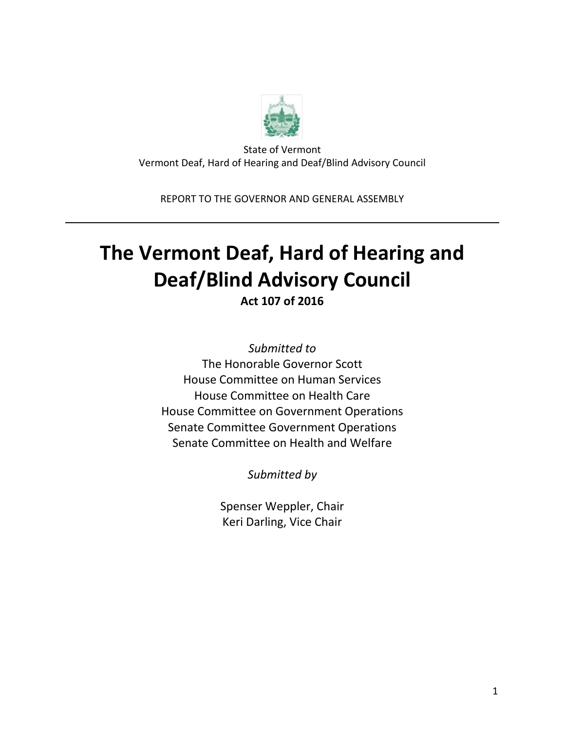

State of Vermont Vermont Deaf, Hard of Hearing and Deaf/Blind Advisory Council

REPORT TO THE GOVERNOR AND GENERAL ASSEMBLY

# **The Vermont Deaf, Hard of Hearing and Deaf/Blind Advisory Council**

**Act 107 of 2016**

*Submitted to* The Honorable Governor Scott House Committee on Human Services House Committee on Health Care House Committee on Government Operations Senate Committee Government Operations Senate Committee on Health and Welfare

*Submitted by*

Spenser Weppler, Chair Keri Darling, Vice Chair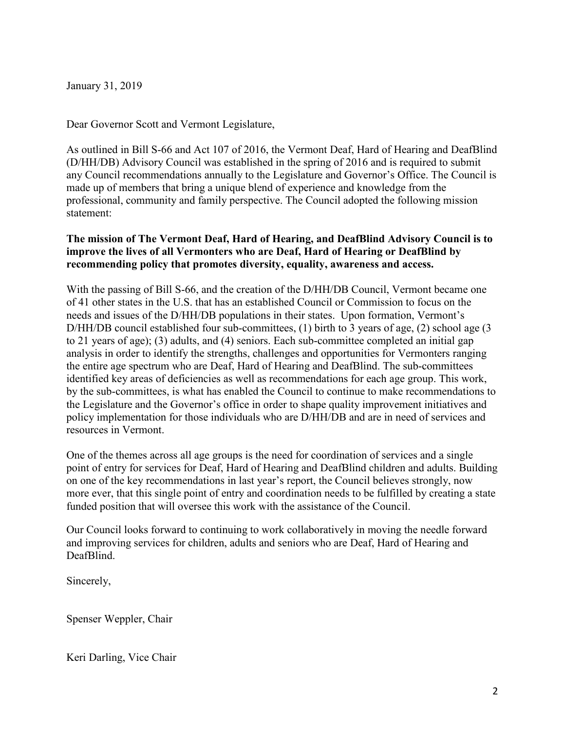January 31, 2019

Dear Governor Scott and Vermont Legislature,

As outlined in Bill S-66 and Act 107 of 2016, the Vermont Deaf, Hard of Hearing and DeafBlind (D/HH/DB) Advisory Council was established in the spring of 2016 and is required to submit any Council recommendations annually to the Legislature and Governor's Office. The Council is made up of members that bring a unique blend of experience and knowledge from the professional, community and family perspective. The Council adopted the following mission statement:

#### **The mission of The Vermont Deaf, Hard of Hearing, and DeafBlind Advisory Council is to improve the lives of all Vermonters who are Deaf, Hard of Hearing or DeafBlind by recommending policy that promotes diversity, equality, awareness and access.**

With the passing of Bill S-66, and the creation of the D/HH/DB Council, Vermont became one of 41 other states in the U.S. that has an established Council or Commission to focus on the needs and issues of the D/HH/DB populations in their states. Upon formation, Vermont's D/HH/DB council established four sub-committees, (1) birth to 3 years of age, (2) school age (3) to 21 years of age); (3) adults, and (4) seniors. Each sub-committee completed an initial gap analysis in order to identify the strengths, challenges and opportunities for Vermonters ranging the entire age spectrum who are Deaf, Hard of Hearing and DeafBlind. The sub-committees identified key areas of deficiencies as well as recommendations for each age group. This work, by the sub-committees, is what has enabled the Council to continue to make recommendations to the Legislature and the Governor's office in order to shape quality improvement initiatives and policy implementation for those individuals who are D/HH/DB and are in need of services and resources in Vermont.

One of the themes across all age groups is the need for coordination of services and a single point of entry for services for Deaf, Hard of Hearing and DeafBlind children and adults. Building on one of the key recommendations in last year's report, the Council believes strongly, now more ever, that this single point of entry and coordination needs to be fulfilled by creating a state funded position that will oversee this work with the assistance of the Council.

Our Council looks forward to continuing to work collaboratively in moving the needle forward and improving services for children, adults and seniors who are Deaf, Hard of Hearing and DeafBlind.

Sincerely,

Spenser Weppler, Chair

Keri Darling, Vice Chair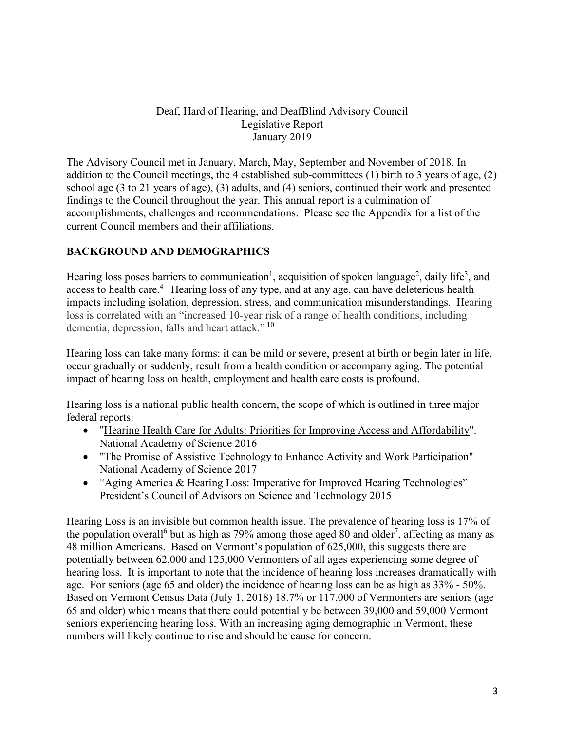#### Deaf, Hard of Hearing, and DeafBlind Advisory Council Legislative Report January 2019

The Advisory Council met in January, March, May, September and November of 2018. In addition to the Council meetings, the 4 established sub-committees (1) birth to 3 years of age, (2) school age (3 to 21 years of age), (3) adults, and (4) seniors, continued their work and presented findings to the Council throughout the year. This annual report is a culmination of accomplishments, challenges and recommendations. Please see the Appendix for a list of the current Council members and their affiliations.

# **BACKGROUND AND DEMOGRAPHICS**

Hearing loss poses barriers to communication<sup>1</sup>, acquisition of spoken language<sup>2</sup>, daily life<sup>3</sup>, and access to health care.<sup>4</sup> Hearing loss of any type, and at any age, can have deleterious health impacts including isolation, depression, stress, and communication misunderstandings. Hearing loss is correlated with an "increased 10-year risk of a range of health conditions, including dementia, depression, falls and heart attack."<sup>10</sup>

Hearing loss can take many forms: it can be mild or severe, present at birth or begin later in life, occur gradually or suddenly, result from a health condition or accompany aging. The potential impact of hearing loss on health, employment and health care costs is profound.

Hearing loss is a national public health concern, the scope of which is outlined in three major federal reports:

- "Hearing Health Care for Adults: Priorities for Improving Access and [Affordability"](http://nationalacademies.org/hmd/reports/2016/hearing-health-care-for-adults.aspx?_ga=2.51556269.524110590.1547840253-102203690.1547840253). National Academy of Science 2016
- "The Promise of Assistive Technology to Enhance Activity and Work [Participation"](https://www.nap.edu/catalog/24740/the-promise-of-%20assistive-technology-to-enhance-activity-and-work-%20participation) National Academy of Science 2017
- "Aging America & Hearing Loss: Imperative for Improved Hearing [Technologies"](https://obamawhitehouse.archives.gov/sites/default/files/microsites/ostp/PCAST/pcast_hearing_tech_letterreport_final.pdf) President's Council of Advisors on Science and Technology 2015

Hearing Loss is an invisible but common health issue. The prevalence of hearing loss is 17% of the population overall<sup>6</sup> but as high as 79% among those aged 80 and older<sup>7</sup>, affecting as many as 48 million Americans. Based on Vermont's population of 625,000, this suggests there are potentially between 62,000 and 125,000 Vermonters of all ages experiencing some degree of hearing loss. It is important to note that the incidence of hearing loss increases dramatically with age. For seniors (age 65 and older) the incidence of hearing loss can be as high as 33% - 50%. Based on Vermont Census Data (July 1, 2018) 18.7% or 117,000 of Vermonters are seniors (age 65 and older) which means that there could potentially be between 39,000 and 59,000 Vermont seniors experiencing hearing loss. With an increasing aging demographic in Vermont, these numbers will likely continue to rise and should be cause for concern.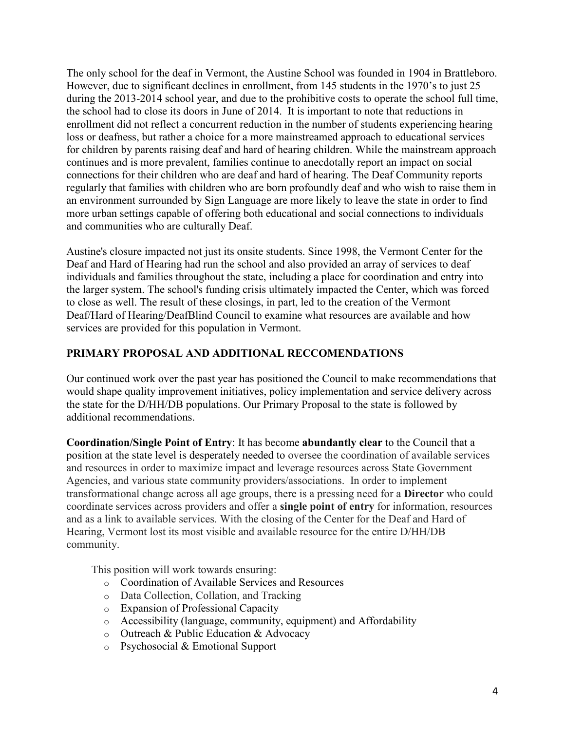The only school for the deaf in Vermont, the Austine School was founded in 1904 in Brattleboro. However, due to significant declines in enrollment, from 145 students in the 1970's to just 25 during the 2013-2014 school year, and due to the prohibitive costs to operate the school full time, the school had to close its doors in June of 2014. It is important to note that reductions in enrollment did not reflect a concurrent reduction in the number of students experiencing hearing loss or deafness, but rather a choice for a more mainstreamed approach to educational services for children by parents raising deaf and hard of hearing children. While the mainstream approach continues and is more prevalent, families continue to anecdotally report an impact on social connections for their children who are deaf and hard of hearing. The Deaf Community reports regularly that families with children who are born profoundly deaf and who wish to raise them in an environment surrounded by Sign Language are more likely to leave the state in order to find more urban settings capable of offering both educational and social connections to individuals and communities who are culturally Deaf.

Austine's closure impacted not just its onsite students. Since 1998, the Vermont Center for the Deaf and Hard of Hearing had run the school and also provided an array of services to deaf individuals and families throughout the state, including a place for coordination and entry into the larger system. The school's funding crisis ultimately impacted the Center, which was forced to close as well. The result of these closings, in part, led to the creation of the Vermont Deaf/Hard of Hearing/DeafBlind Council to examine what resources are available and how services are provided for this population in Vermont.

#### **PRIMARY PROPOSAL AND ADDITIONAL RECCOMENDATIONS**

Our continued work over the past year has positioned the Council to make recommendations that would shape quality improvement initiatives, policy implementation and service delivery across the state for the D/HH/DB populations. Our Primary Proposal to the state is followed by additional recommendations.

**Coordination/Single Point of Entry**: It has become **abundantly clear** to the Council that a position at the state level is desperately needed to oversee the coordination of available services and resources in order to maximize impact and leverage resources across State Government Agencies, and various state community providers/associations. In order to implement transformational change across all age groups, there is a pressing need for a **Director** who could coordinate services across providers and offer a **single point of entry** for information, resources and as a link to available services. With the closing of the Center for the Deaf and Hard of Hearing, Vermont lost its most visible and available resource for the entire D/HH/DB community.

This position will work towards ensuring:

- o Coordination of Available Services and Resources
- o Data Collection, Collation, and Tracking
- o Expansion of Professional Capacity
- o Accessibility (language, community, equipment) and Affordability
- o Outreach & Public Education & Advocacy
- o Psychosocial & Emotional Support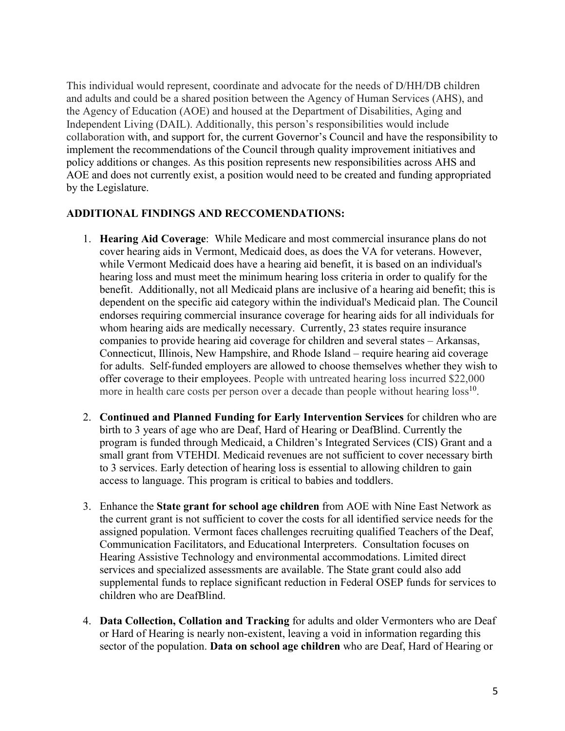This individual would represent, coordinate and advocate for the needs of D/HH/DB children and adults and could be a shared position between the Agency of Human Services (AHS), and the Agency of Education (AOE) and housed at the Department of Disabilities, Aging and Independent Living (DAIL). Additionally, this person's responsibilities would include collaboration with, and support for, the current Governor's Council and have the responsibility to implement the recommendations of the Council through quality improvement initiatives and policy additions or changes. As this position represents new responsibilities across AHS and AOE and does not currently exist, a position would need to be created and funding appropriated by the Legislature.

#### **ADDITIONAL FINDINGS AND RECCOMENDATIONS:**

- 1. **Hearing Aid Coverage**: While Medicare and most commercial insurance plans do not cover hearing aids in Vermont, Medicaid does, as does the VA for veterans. However, while Vermont Medicaid does have a hearing aid benefit, it is based on an individual's hearing loss and must meet the minimum hearing loss criteria in order to qualify for the benefit. Additionally, not all Medicaid plans are inclusive of a hearing aid benefit; this is dependent on the specific aid category within the individual's Medicaid plan. The Council endorses requiring commercial insurance coverage for hearing aids for all individuals for whom hearing aids are medically necessary. Currently, 23 states require insurance companies to provide hearing aid coverage for children and several states – Arkansas, Connecticut, Illinois, New Hampshire, and Rhode Island – require hearing aid coverage for adults. Self-funded employers are allowed to choose themselves whether they wish to offer coverage to their employees. People with untreated hearing loss incurred \$22,000 more in health care costs per person over a decade than people without hearing  $loss^{10}$ .
- 2. **Continued and Planned Funding for Early Intervention Services** for children who are birth to 3 years of age who are Deaf, Hard of Hearing or DeafBlind. Currently the program is funded through Medicaid, a Children's Integrated Services (CIS) Grant and a small grant from VTEHDI. Medicaid revenues are not sufficient to cover necessary birth to 3 services. Early detection of hearing loss is essential to allowing children to gain access to language. This program is critical to babies and toddlers.
- 3. Enhance the **State grant for school age children** from AOE with Nine East Network as the current grant is not sufficient to cover the costs for all identified service needs for the assigned population. Vermont faces challenges recruiting qualified Teachers of the Deaf, Communication Facilitators, and Educational Interpreters. Consultation focuses on Hearing Assistive Technology and environmental accommodations. Limited direct services and specialized assessments are available. The State grant could also add supplemental funds to replace significant reduction in Federal OSEP funds for services to children who are DeafBlind.
- 4. **Data Collection, Collation and Tracking** for adults and older Vermonters who are Deaf or Hard of Hearing is nearly non-existent, leaving a void in information regarding this sector of the population. **Data on school age children** who are Deaf, Hard of Hearing or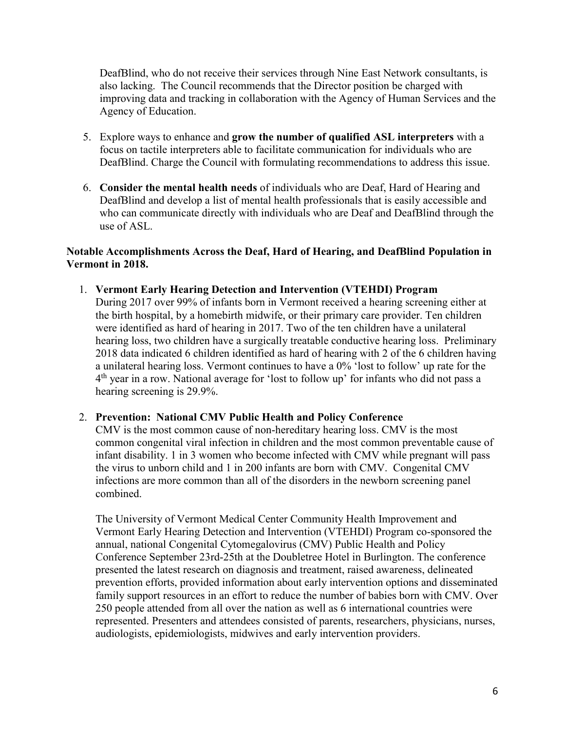DeafBlind, who do not receive their services through Nine East Network consultants, is also lacking. The Council recommends that the Director position be charged with improving data and tracking in collaboration with the Agency of Human Services and the Agency of Education.

- 5. Explore ways to enhance and **grow the number of qualified ASL interpreters** with a focus on tactile interpreters able to facilitate communication for individuals who are DeafBlind. Charge the Council with formulating recommendations to address this issue.
- 6. **Consider the mental health needs** of individuals who are Deaf, Hard of Hearing and DeafBlind and develop a list of mental health professionals that is easily accessible and who can communicate directly with individuals who are Deaf and DeafBlind through the use of ASL.

#### **Notable Accomplishments Across the Deaf, Hard of Hearing, and DeafBlind Population in Vermont in 2018.**

1. **Vermont Early Hearing Detection and Intervention (VTEHDI) Program** During 2017 over 99% of infants born in Vermont received a hearing screening either at the birth hospital, by a homebirth midwife, or their primary care provider. Ten children were identified as hard of hearing in 2017. Two of the ten children have a unilateral hearing loss, two children have a surgically treatable conductive hearing loss. Preliminary 2018 data indicated 6 children identified as hard of hearing with 2 of the 6 children having a unilateral hearing loss. Vermont continues to have a 0% 'lost to follow' up rate for the 4th year in a row. National average for 'lost to follow up' for infants who did not pass a hearing screening is 29.9%.

#### 2. **Prevention: National CMV Public Health and Policy Conference**

CMV is the most common cause of non-hereditary hearing loss. CMV is the most common congenital viral infection in children and the most common preventable cause of infant disability. 1 in 3 women who become infected with CMV while pregnant will pass the virus to unborn child and 1 in 200 infants are born with CMV. Congenital CMV infections are more common than all of the disorders in the newborn screening panel combined.

The University of Vermont Medical Center Community Health Improvement and Vermont Early Hearing Detection and Intervention (VTEHDI) Program co-sponsored the annual, national Congenital Cytomegalovirus (CMV) Public Health and Policy Conference September 23rd-25th at the Doubletree Hotel in Burlington. The conference presented the latest research on diagnosis and treatment, raised awareness, delineated prevention efforts, provided information about early intervention options and disseminated family support resources in an effort to reduce the number of babies born with CMV. Over 250 people attended from all over the nation as well as 6 international countries were represented. Presenters and attendees consisted of parents, researchers, physicians, nurses, audiologists, epidemiologists, midwives and early intervention providers.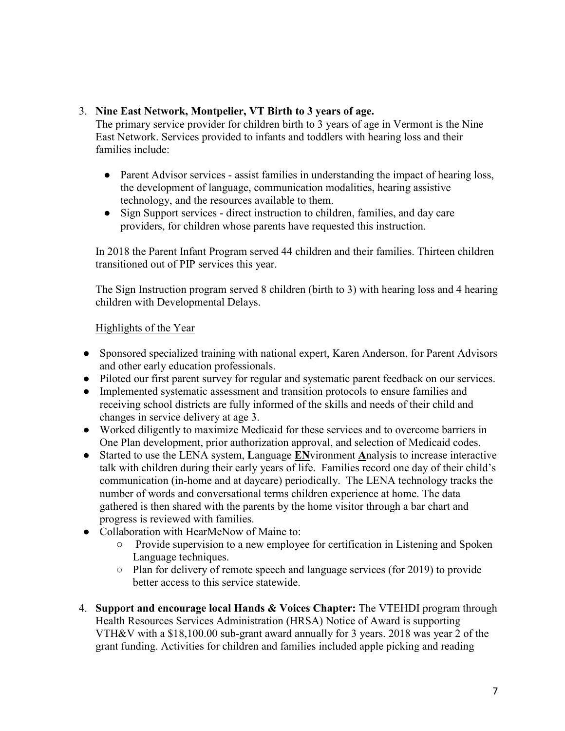#### 3. **Nine East Network, Montpelier, VT Birth to 3 years of age.**

The primary service provider for children birth to 3 years of age in Vermont is the Nine East Network. Services provided to infants and toddlers with hearing loss and their families include:

- Parent Advisor services assist families in understanding the impact of hearing loss, the development of language, communication modalities, hearing assistive technology, and the resources available to them.
- Sign Support services direct instruction to children, families, and day care providers, for children whose parents have requested this instruction.

In 2018 the Parent Infant Program served 44 children and their families. Thirteen children transitioned out of PIP services this year.

The Sign Instruction program served 8 children (birth to 3) with hearing loss and 4 hearing children with Developmental Delays.

#### Highlights of the Year

- Sponsored specialized training with national expert, Karen Anderson, for Parent Advisors and other early education professionals.
- Piloted our first parent survey for regular and systematic parent feedback on our services.
- Implemented systematic assessment and transition protocols to ensure families and receiving school districts are fully informed of the skills and needs of their child and changes in service delivery at age 3.
- Worked diligently to maximize Medicaid for these services and to overcome barriers in One Plan development, prior authorization approval, and selection of Medicaid codes.
- Started to use the LENA system, **L**anguage **EN**vironment **A**nalysis to increase interactive talk with children during their early years of life. Families record one day of their child's communication (in-home and at daycare) periodically. The LENA technology tracks the number of words and conversational terms children experience at home. The data gathered is then shared with the parents by the home visitor through a bar chart and progress is reviewed with families.
- Collaboration with HearMeNow of Maine to:
	- Provide supervision to a new employee for certification in Listening and Spoken Language techniques.
	- Plan for delivery of remote speech and language services (for 2019) to provide better access to this service statewide.
- 4. **Support and encourage local Hands & Voices Chapter:** The VTEHDI program through Health Resources Services Administration (HRSA) Notice of Award is supporting VTH&V with a \$18,100.00 sub-grant award annually for 3 years. 2018 was year 2 of the grant funding. Activities for children and families included apple picking and reading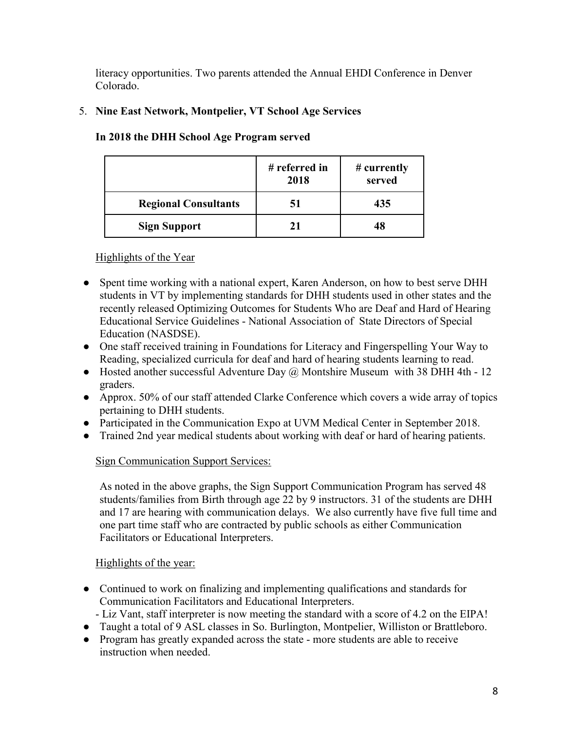literacy opportunities. Two parents attended the Annual EHDI Conference in Denver Colorado.

# 5. **Nine East Network, Montpelier, VT School Age Services**

|                             | # referred in<br>2018 | # currently<br>served |
|-----------------------------|-----------------------|-----------------------|
| <b>Regional Consultants</b> | 51                    | 435                   |
| <b>Sign Support</b>         | 21                    | 48                    |

#### **In 2018 the DHH School Age Program served**

# Highlights of the Year

- Spent time working with a national expert, Karen Anderson, on how to best serve DHH students in VT by implementing standards for DHH students used in other states and the recently released Optimizing Outcomes for Students Who are Deaf and Hard of Hearing Educational Service Guidelines - National Association of State Directors of Special Education (NASDSE).
- One staff received training in Foundations for Literacy and Fingerspelling Your Way to Reading, specialized curricula for deaf and hard of hearing students learning to read.
- Hosted another successful Adventure Day  $\omega$  Montshire Museum with 38 DHH 4th 12 graders.
- Approx. 50% of our staff attended Clarke Conference which covers a wide array of topics pertaining to DHH students.
- Participated in the Communication Expo at UVM Medical Center in September 2018.
- Trained 2nd year medical students about working with deaf or hard of hearing patients.

# Sign Communication Support Services:

As noted in the above graphs, the Sign Support Communication Program has served 48 students/families from Birth through age 22 by 9 instructors. 31 of the students are DHH and 17 are hearing with communication delays. We also currently have five full time and one part time staff who are contracted by public schools as either Communication Facilitators or Educational Interpreters.

# Highlights of the year:

- Continued to work on finalizing and implementing qualifications and standards for Communication Facilitators and Educational Interpreters.
- Liz Vant, staff interpreter is now meeting the standard with a score of 4.2 on the EIPA!
- Taught a total of 9 ASL classes in So. Burlington, Montpelier, Williston or Brattleboro.
- Program has greatly expanded across the state more students are able to receive instruction when needed.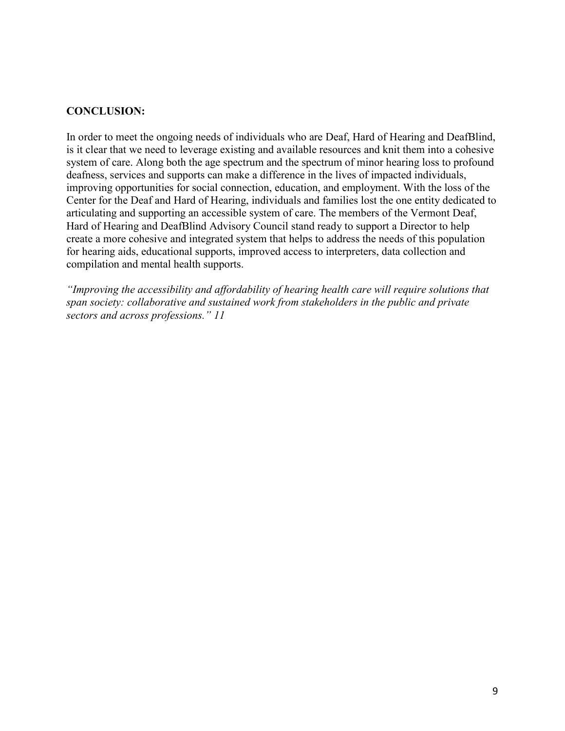#### **CONCLUSION:**

In order to meet the ongoing needs of individuals who are Deaf, Hard of Hearing and DeafBlind, is it clear that we need to leverage existing and available resources and knit them into a cohesive system of care. Along both the age spectrum and the spectrum of minor hearing loss to profound deafness, services and supports can make a difference in the lives of impacted individuals, improving opportunities for social connection, education, and employment. With the loss of the Center for the Deaf and Hard of Hearing, individuals and families lost the one entity dedicated to articulating and supporting an accessible system of care. The members of the Vermont Deaf, Hard of Hearing and DeafBlind Advisory Council stand ready to support a Director to help create a more cohesive and integrated system that helps to address the needs of this population for hearing aids, educational supports, improved access to interpreters, data collection and compilation and mental health supports.

*"Improving the accessibility and affordability of hearing health care will require solutions that span society: collaborative and sustained work from stakeholders in the public and private sectors and across professions." 11*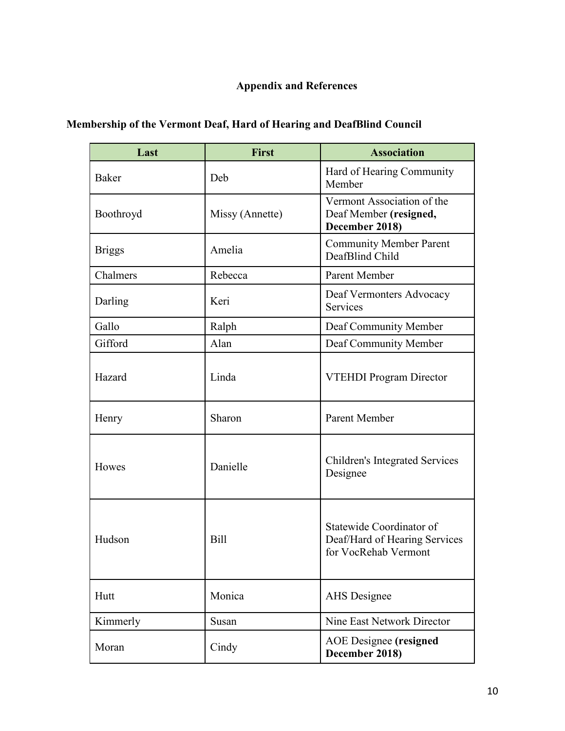# **Appendix and References**

|  | <b>Membership of the Vermont Deaf, Hard of Hearing and DeafBlind Council</b> |
|--|------------------------------------------------------------------------------|
|  |                                                                              |

| Last          | <b>First</b>    | <b>Association</b>                                                                |
|---------------|-----------------|-----------------------------------------------------------------------------------|
| Baker         | Deb             | Hard of Hearing Community<br>Member                                               |
| Boothroyd     | Missy (Annette) | Vermont Association of the<br>Deaf Member (resigned,<br>December 2018)            |
| <b>Briggs</b> | Amelia          | <b>Community Member Parent</b><br>DeafBlind Child                                 |
| Chalmers      | Rebecca         | Parent Member                                                                     |
| Darling       | Keri            | Deaf Vermonters Advocacy<br>Services                                              |
| Gallo         | Ralph           | Deaf Community Member                                                             |
| Gifford       | Alan            | Deaf Community Member                                                             |
| Hazard        | Linda           | VTEHDI Program Director                                                           |
| Henry         | Sharon          | Parent Member                                                                     |
| Howes         | Danielle        | <b>Children's Integrated Services</b><br>Designee                                 |
| Hudson        | Bill            | Statewide Coordinator of<br>Deaf/Hard of Hearing Services<br>for VocRehab Vermont |
| Hutt          | Monica          | <b>AHS</b> Designee                                                               |
| Kimmerly      | Susan           | Nine East Network Director                                                        |
| Moran         | Cindy           | <b>AOE</b> Designee (resigned<br>December 2018)                                   |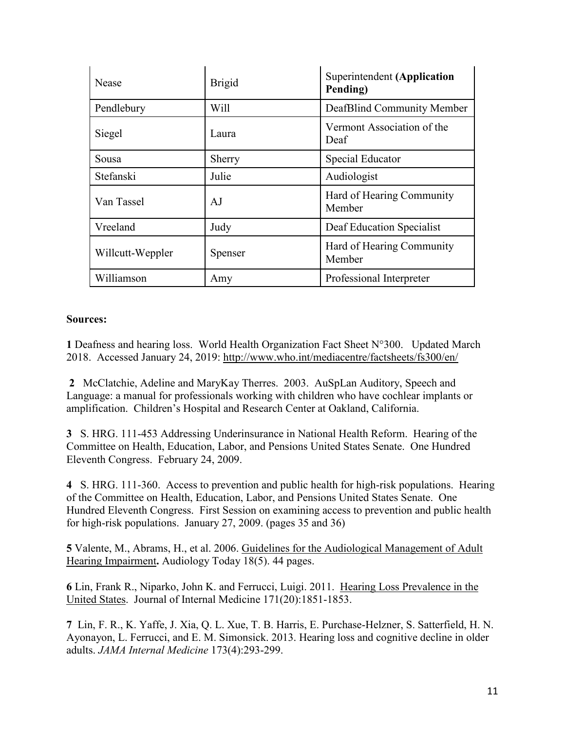| Nease            | <b>Brigid</b> | <b>Superintendent (Application</b><br>Pending) |
|------------------|---------------|------------------------------------------------|
| Pendlebury       | Will          | DeafBlind Community Member                     |
| Siegel           | Laura         | Vermont Association of the<br>Deaf             |
| Sousa            | Sherry        | Special Educator                               |
| Stefanski        | Julie         | Audiologist                                    |
| Van Tassel       | AJ            | Hard of Hearing Community<br>Member            |
| Vreeland         | Judy          | Deaf Education Specialist                      |
| Willcutt-Weppler | Spenser       | Hard of Hearing Community<br>Member            |
| Williamson       | Amy           | Professional Interpreter                       |

#### **Sources:**

**1** Deafness and hearing loss. World Health Organization Fact Sheet N°300. Updated March 2018. Accessed January 24, 2019: <http://www.who.int/mediacentre/factsheets/fs300/en/>

**2** McClatchie, Adeline and MaryKay Therres. 2003. AuSpLan Auditory, Speech and Language: a manual for professionals working with children who have cochlear implants or amplification. Children's Hospital and Research Center at Oakland, California.

**3** S. HRG. 111-453 Addressing Underinsurance in National Health Reform. Hearing of the Committee on Health, Education, Labor, and Pensions United States Senate. One Hundred Eleventh Congress. February 24, 2009.

**4** S. HRG. 111-360. Access to prevention and public health for high-risk populations. Hearing of the Committee on Health, Education, Labor, and Pensions United States Senate. One Hundred Eleventh Congress. First Session on examining access to prevention and public health for high-risk populations. January 27, 2009. (pages 35 and 36)

**5** Valente, M., Abrams, H., et al. 2006. Guidelines for the [Audiological](http://audiology-web.s3.amazonaws.com/migrated/haguidelines.pdf_53994876e92e42.70908344.pdf) Management of Adult Hearing [Impairment](http://audiology-web.s3.amazonaws.com/migrated/haguidelines.pdf_53994876e92e42.70908344.pdf)**.** Audiology Today 18(5). 44 pages.

**6** Lin, Frank R., Niparko, John K. and Ferrucci, Luigi. 2011. Hearing Loss [Prevalence](http://archinte.jamanetwork.com/Mobile/article.aspx?articleid=1106004) in the [United](http://archinte.jamanetwork.com/Mobile/article.aspx?articleid=1106004) States. Journal of Internal Medicine 171(20):1851-1853.

**7** Lin, F. R., K. Yaffe, J. Xia, Q. L. Xue, T. B. Harris, E. Purchase-Helzner, S. Satterfield, H. N. Ayonayon, L. Ferrucci, and E. M. Simonsick. 2013. Hearing loss and cognitive decline in older adults. *JAMA Internal Medicine* 173(4):293-299.